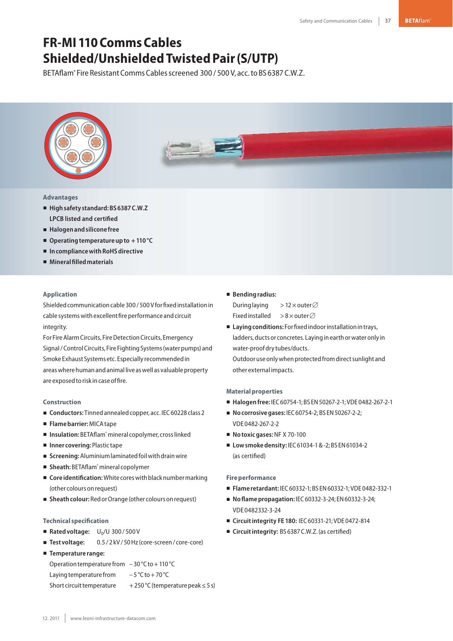# **FR-MI 110CommsCables Shielded/UnshieldedTwistedPair(S/UTP)**

BETAflam<sup>®</sup> Fire Resistant Comms Cables screened 300 / 500 V, acc. to BS 6387 C.W.Z.



# **Advantages**

- **Highsafety standard:BS6387C.W.Z LPCB listed and certified**
- **Halogenandsilicone free**
- Operating temperature up to +110 °C
- In compliance with RoHS directive
- **Mineralfilledmaterials**

## **Application**

Shielded communication cable 300 / 500 V for fixed installation in cable systems with excellent fire performance and circuit integrity.

For Fire Alarm Circuits, Fire Detection Circuits, Emergency Signal/Control Circuits, Fire Fighting Systems (water pumps) and Smoke Exhaust Systems etc. Especially recommendedin areas where human and animal live as well as valuable property are exposed to risk in case of fire.

#### **Construction**

- Conductors: Tinned annealed copper, acc. IEC 60228 class 2
- **Flamebarrier:**MICAtape
- Insulation: BETAflam<sup>®</sup> mineral copolymer, cross linked
- Inner covering: Plastic tape
- Screening: Aluminium laminated foil with drain wire
- Sheath: BETAflam<sup>®</sup> mineral copolymer
- Core **identification:** White cores with black number marking (other colours onrequest)
- **Sheath colour:** Red or Orange (other colours on request)

### **Technical specification**

- **Rated voltage:**  $U_0/U$  300/500 V
- Test voltage: **Test voltage:** 0.5 / 2 kV/ 50 Hz(core-screen/ core-core)
- **Temperature range:**

```
Operation temperature from -30 °C to +110 °C
Laying temperature from -5^{\circ}C to + 70 °C
Short circuit temperature +250 \degree C (temperature peak ≤ 5 s)
```
### - **Bendingradius:**

During laying  $> 12 \times$  outer  $\varnothing$ Fixed installed  $> 8 \times$  outer $\varnothing$ 

■ Laying conditions: For fixed indoor installation in trays, ladders, ducts or concretes. Laying in earth or water only in water-proofdry tubes/ducts.

Outdoor use only when protected from direct sunlight and other external impacts.

### **Materialproperties**

- **Halogenfree:** IEC60754-1;BS EN50267-2-1;VDE 0482-267-2-1
- **No corrosive gases: IEC 60754-2; BS EN 50267-2-2;** VDE 0482-267-2-2
- **Notoxic gases: NF X 70-100**
- Low smoke density: IEC 61034-1 & -2; BS EN 61034-2 (as certified)

#### **Fireperformance**

- **Flame retardant:** IEC60332-1;BS EN60332-1;VDE 0482-332-1
- **No flame propagation: IEC 60332-3-24; EN 60332-3-24;** VDE 0482332-3-24
- **Circuitintegrity FE 180:** IEC60331-21;VDE 0472-814
- Circuitintegrity: BS 6387 C.W.Z. (as certified)